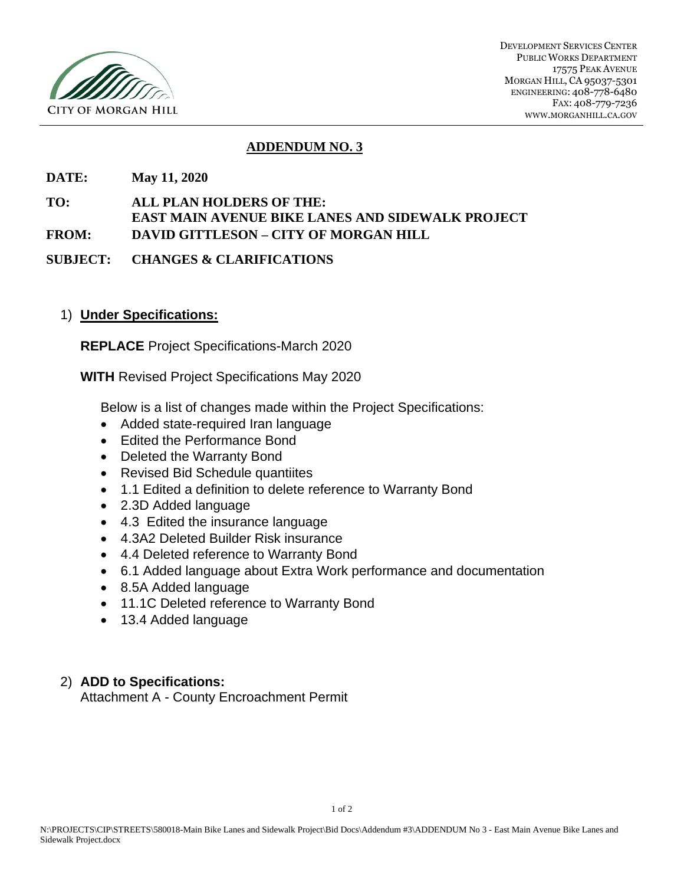

DEVELOPMENT SERVICES CENTER PUBLIC WORKS DEPARTMENT 17575 PEAK AVENUE MORGAN HILL, CA 95037-5301 ENGINEERING: 408-778-6480 FAX: 408-779-7236 WWW.MORGANHILL.CA.GOV

### **ADDENDUM NO. 3**

**DATE: May 11, 2020**

**TO: ALL PLAN HOLDERS OF THE: EAST MAIN AVENUE BIKE LANES AND SIDEWALK PROJECT FROM: DAVID GITTLESON – CITY OF MORGAN HILL**

**SUBJECT: CHANGES & CLARIFICATIONS**

### 1) **Under Specifications:**

**REPLACE** Project Specifications-March 2020

**WITH** Revised Project Specifications May 2020

Below is a list of changes made within the Project Specifications:

- Added state-required Iran language
- Edited the Performance Bond
- Deleted the Warranty Bond
- Revised Bid Schedule quantiites
- 1.1 Edited a definition to delete reference to Warranty Bond
- 2.3D Added language
- 4.3 Edited the insurance language
- 4.3A2 Deleted Builder Risk insurance
- 4.4 Deleted reference to Warranty Bond
- 6.1 Added language about Extra Work performance and documentation
- 8.5A Added language
- 11.1C Deleted reference to Warranty Bond
- 13.4 Added language

### 2) **ADD to Specifications:**

Attachment A - County Encroachment Permit